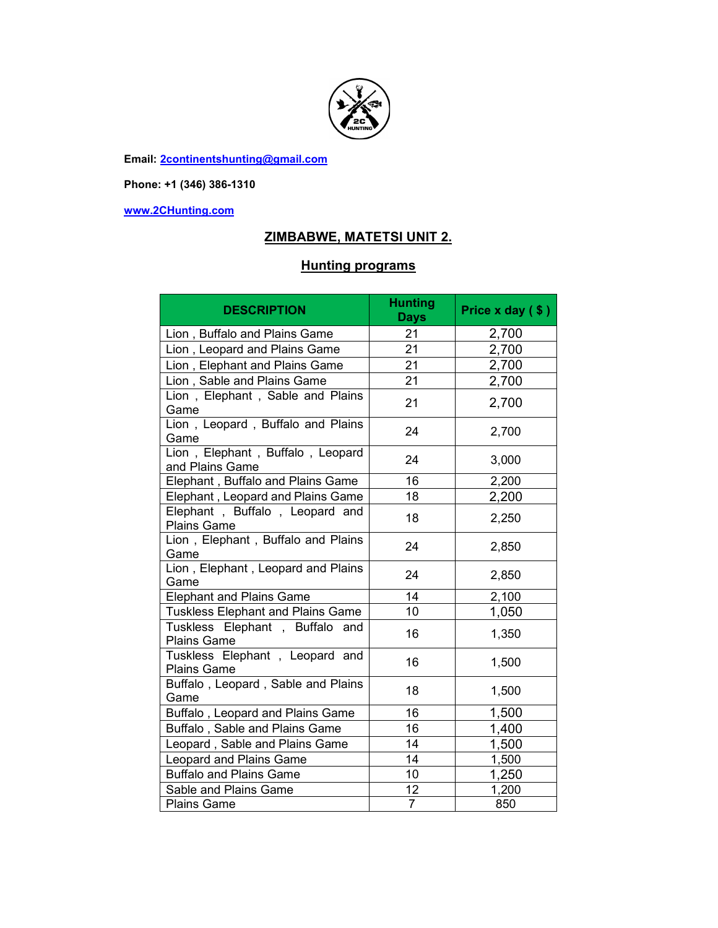

**Email: 2continentshunting@gmail.com**

**Phone: +1 (346) 386-1310** 

**www.2CHunting.com**

## **ZIMBABWE, MATETSI UNIT 2.**

## **Hunting programs**

| <b>DESCRIPTION</b>                                      | <b>Hunting</b><br><b>Days</b> | Price $x$ day $($ \$ $)$ |
|---------------------------------------------------------|-------------------------------|--------------------------|
| Lion, Buffalo and Plains Game                           | 21                            | 2,700                    |
| Lion, Leopard and Plains Game                           | 21                            | 2,700                    |
| Lion, Elephant and Plains Game                          | 21                            | 2,700                    |
| Lion, Sable and Plains Game                             | 21                            | 2,700                    |
| Lion, Elephant, Sable and Plains<br>Game                | 21                            | 2,700                    |
| Lion, Leopard, Buffalo and Plains<br>Game               | 24                            | 2,700                    |
| Lion, Elephant, Buffalo, Leopard<br>and Plains Game     | 24                            | 3,000                    |
| Elephant, Buffalo and Plains Game                       | 16                            | 2,200                    |
| Elephant, Leopard and Plains Game                       | 18                            | 2,200                    |
| Elephant, Buffalo, Leopard and<br><b>Plains Game</b>    | 18                            | 2,250                    |
| Lion, Elephant, Buffalo and Plains<br>Game              | 24                            | 2,850                    |
| Lion, Elephant, Leopard and Plains<br>Game              | 24                            | 2,850                    |
| <b>Elephant and Plains Game</b>                         | 14                            | 2,100                    |
| <b>Tuskless Elephant and Plains Game</b>                | 10                            | 1,050                    |
| Tuskless Elephant, Buffalo<br>and<br><b>Plains Game</b> | 16                            | 1,350                    |
| Tuskless Elephant, Leopard and<br><b>Plains Game</b>    | 16                            | 1,500                    |
| Buffalo, Leopard, Sable and Plains<br>Game              | 18                            | 1,500                    |
| Buffalo, Leopard and Plains Game                        | 16                            | 1,500                    |
| Buffalo, Sable and Plains Game                          | 16                            | 1,400                    |
| Leopard, Sable and Plains Game                          | 14                            | 1,500                    |
| Leopard and Plains Game                                 | 14                            | 1,500                    |
| <b>Buffalo and Plains Game</b>                          | 10                            | 1,250                    |
| Sable and Plains Game                                   | 12                            | 1,200                    |
| <b>Plains Game</b>                                      | $\overline{7}$                | 850                      |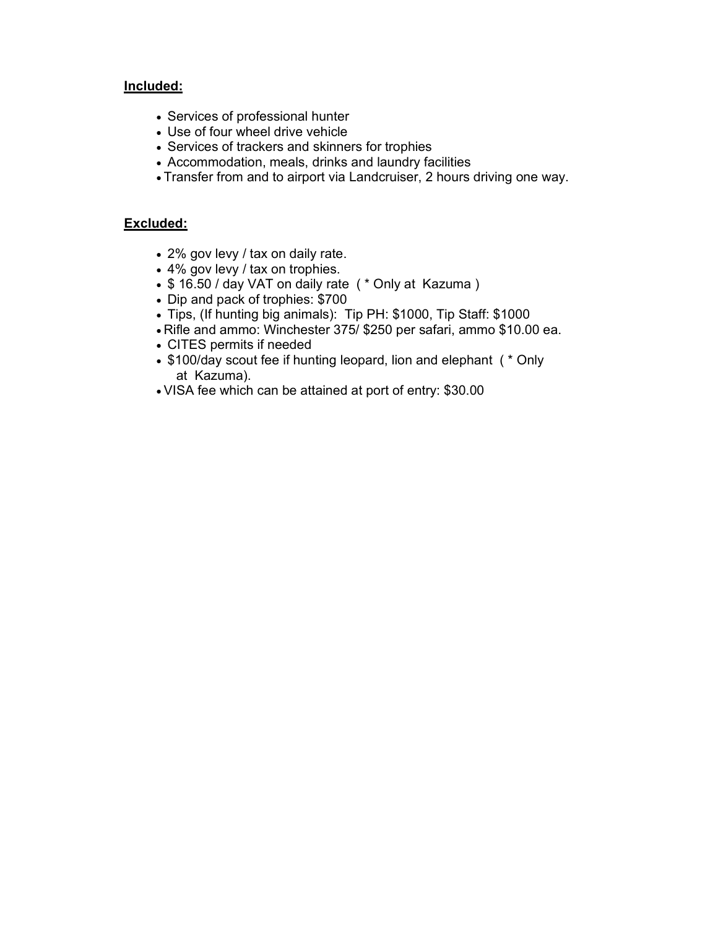### **Included:**

- Services of professional hunter
- Use of four wheel drive vehicle
- Services of trackers and skinners for trophies
- Accommodation, meals, drinks and laundry facilities
- Transfer from and to airport via Landcruiser, 2 hours driving one way.

#### **Excluded:**

- 2% gov levy / tax on daily rate.
- 4% gov levy / tax on trophies.
- \$16.50 / day VAT on daily rate ( \* Only at Kazuma )
- Dip and pack of trophies: \$700
- Tips, (If hunting big animals): Tip PH: \$1000, Tip Staff: \$1000
- Rifle and ammo: Winchester 375/ \$250 per safari, ammo \$10.00 ea.
- CITES permits if needed
- \$100/day scout fee if hunting leopard, lion and elephant (  $*$  Only at Kazuma).
- VISA fee which can be attained at port of entry: \$30.00